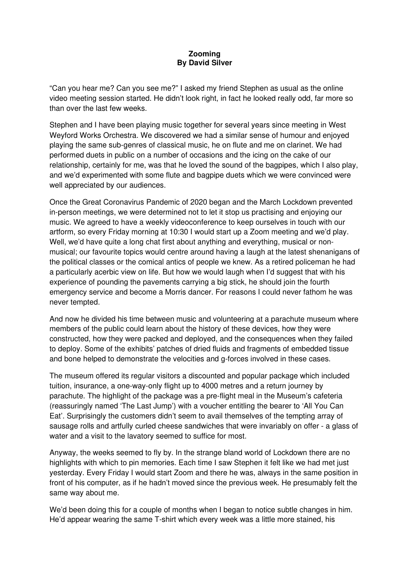## **Zooming By David Silver**

"Can you hear me? Can you see me?" I asked my friend Stephen as usual as the online video meeting session started. He didn't look right, in fact he looked really odd, far more so than over the last few weeks.

Stephen and I have been playing music together for several years since meeting in West Weyford Works Orchestra. We discovered we had a similar sense of humour and enjoyed playing the same sub-genres of classical music, he on flute and me on clarinet. We had performed duets in public on a number of occasions and the icing on the cake of our relationship, certainly for me, was that he loved the sound of the bagpipes, which I also play, and we'd experimented with some flute and bagpipe duets which we were convinced were well appreciated by our audiences.

Once the Great Coronavirus Pandemic of 2020 began and the March Lockdown prevented in-person meetings, we were determined not to let it stop us practising and enjoying our music. We agreed to have a weekly videoconference to keep ourselves in touch with our artform, so every Friday morning at 10:30 I would start up a Zoom meeting and we'd play. Well, we'd have quite a long chat first about anything and everything, musical or nonmusical; our favourite topics would centre around having a laugh at the latest shenanigans of the political classes or the comical antics of people we knew. As a retired policeman he had a particularly acerbic view on life. But how we would laugh when I'd suggest that with his experience of pounding the pavements carrying a big stick, he should join the fourth emergency service and become a Morris dancer. For reasons I could never fathom he was never tempted.

And now he divided his time between music and volunteering at a parachute museum where members of the public could learn about the history of these devices, how they were constructed, how they were packed and deployed, and the consequences when they failed to deploy. Some of the exhibits' patches of dried fluids and fragments of embedded tissue and bone helped to demonstrate the velocities and g-forces involved in these cases.

The museum offered its regular visitors a discounted and popular package which included tuition, insurance, a one-way-only flight up to 4000 metres and a return journey by parachute. The highlight of the package was a pre-flight meal in the Museum's cafeteria (reassuringly named 'The Last Jump') with a voucher entitling the bearer to 'All You Can Eat'. Surprisingly the customers didn't seem to avail themselves of the tempting array of sausage rolls and artfully curled cheese sandwiches that were invariably on offer - a glass of water and a visit to the lavatory seemed to suffice for most.

Anyway, the weeks seemed to fly by. In the strange bland world of Lockdown there are no highlights with which to pin memories. Each time I saw Stephen it felt like we had met just yesterday. Every Friday I would start Zoom and there he was, always in the same position in front of his computer, as if he hadn't moved since the previous week. He presumably felt the same way about me.

We'd been doing this for a couple of months when I began to notice subtle changes in him. He'd appear wearing the same T-shirt which every week was a little more stained, his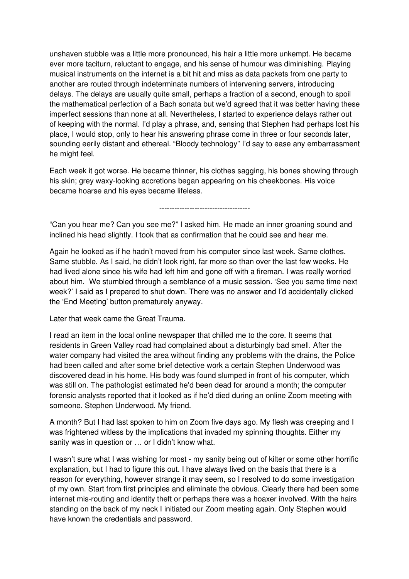unshaven stubble was a little more pronounced, his hair a little more unkempt. He became ever more taciturn, reluctant to engage, and his sense of humour was diminishing. Playing musical instruments on the internet is a bit hit and miss as data packets from one party to another are routed through indeterminate numbers of intervening servers, introducing delays. The delays are usually quite small, perhaps a fraction of a second, enough to spoil the mathematical perfection of a Bach sonata but we'd agreed that it was better having these imperfect sessions than none at all. Nevertheless, I started to experience delays rather out of keeping with the normal. I'd play a phrase, and, sensing that Stephen had perhaps lost his place, I would stop, only to hear his answering phrase come in three or four seconds later, sounding eerily distant and ethereal. "Bloody technology" I'd say to ease any embarrassment he might feel.

Each week it got worse. He became thinner, his clothes sagging, his bones showing through his skin; grey waxy-looking accretions began appearing on his cheekbones. His voice became hoarse and his eyes became lifeless.

------------------------------------

"Can you hear me? Can you see me?" I asked him. He made an inner groaning sound and inclined his head slightly. I took that as confirmation that he could see and hear me.

Again he looked as if he hadn't moved from his computer since last week. Same clothes. Same stubble. As I said, he didn't look right, far more so than over the last few weeks. He had lived alone since his wife had left him and gone off with a fireman. I was really worried about him. We stumbled through a semblance of a music session. 'See you same time next week?' I said as I prepared to shut down. There was no answer and I'd accidentally clicked the 'End Meeting' button prematurely anyway.

Later that week came the Great Trauma.

I read an item in the local online newspaper that chilled me to the core. It seems that residents in Green Valley road had complained about a disturbingly bad smell. After the water company had visited the area without finding any problems with the drains, the Police had been called and after some brief detective work a certain Stephen Underwood was discovered dead in his home. His body was found slumped in front of his computer, which was still on. The pathologist estimated he'd been dead for around a month; the computer forensic analysts reported that it looked as if he'd died during an online Zoom meeting with someone. Stephen Underwood. My friend.

A month? But I had last spoken to him on Zoom five days ago. My flesh was creeping and I was frightened witless by the implications that invaded my spinning thoughts. Either my sanity was in question or … or I didn't know what.

I wasn't sure what I was wishing for most - my sanity being out of kilter or some other horrific explanation, but I had to figure this out. I have always lived on the basis that there is a reason for everything, however strange it may seem, so I resolved to do some investigation of my own. Start from first principles and eliminate the obvious. Clearly there had been some internet mis-routing and identity theft or perhaps there was a hoaxer involved. With the hairs standing on the back of my neck I initiated our Zoom meeting again. Only Stephen would have known the credentials and password.